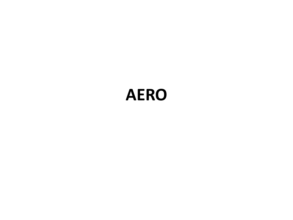## **AERO**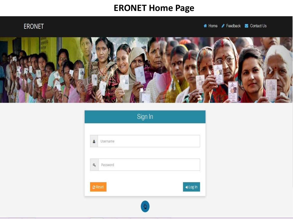#### **ERONET Home Page**

#### ERONET

# Home / Feedback S Contact Us



|                                            |          | Sign In |          |
|--------------------------------------------|----------|---------|----------|
| Â                                          | Username |         |          |
| $a_{\!\scriptscriptstyle (\!\varsigma\!)}$ | Password |         |          |
| $C$ Reset                                  |          |         | o Log In |
|                                            |          |         |          |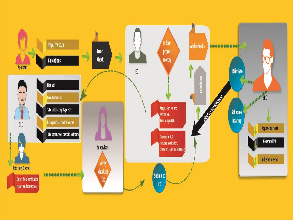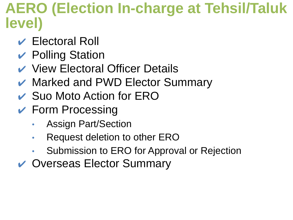## **AERO (Election In-charge at Tehsil/Taluk level)**

- $\vee$  Electoral Roll
- $\vee$  Polling Station
- **↓ View Electoral Officer Details**
- **▶ Marked and PWD Elector Summary**
- **► Suo Moto Action for ERO**
- $\vee$  Form Processing
	- Assign Part/Section
	- Request deletion to other ERO
	- Submission to ERO for Approval or Rejection
- **↓ Overseas Elector Summary**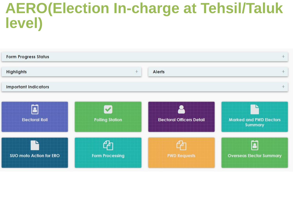## **AERO(Election In-charge at Tehsil/Taluk level)**

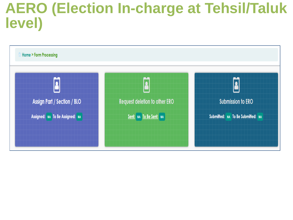## **AERO (Election In-charge at Tehsil/Taluk level)**

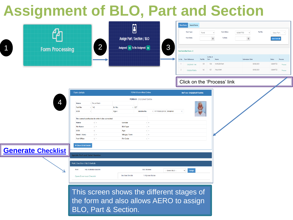## **Assignment of BLO, Part and Section**



the form and also allows AERO to assign BLO, Part & Section.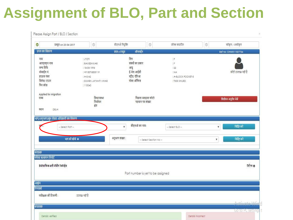## **Assignment of BLO, Part and Section**

| $\circ$<br>प्रस्तुत on 23-04-2017                                                | $\circledcirc$        | बीएलओ नियुक्ति<br>$\circledcirc$          | फील्ड सत्यापित     | $_{\odot}$              | स्वीकृत / अस्वीकृत   |
|----------------------------------------------------------------------------------|-----------------------|-------------------------------------------|--------------------|-------------------------|----------------------|
| ग्रपत्र का विवरण                                                                 |                       | ऑनलाईन<br>प्रपत्र ६ प्रस्तुत              |                    |                         | Ref no: OHM511527764 |
| नाम                                                                              | : JYOTI               | लिग                                       | ÷F                 |                         |                      |
| आरएलएन नाम                                                                       | : RAMESHWAR           | संबंधी का प्रकार                          | ÷F.                |                         |                      |
| जन्म तिथि                                                                        | 18-05-1996            | आयु                                       | $-22$              |                         |                      |
| मोबाईल नं.                                                                       | : +918376835119       | ई-मेल आईडी                                | $NA$               |                         | फोटो उपलब्ध नहीं है  |
| हाऊस नंबर                                                                        | $7.4 - 5/42$          | स्ट्रीट/ ऍरिआ                             | : A-BLOCK POCKET-3 |                         |                      |
| विलेज/ टाउन                                                                      | : SWARN JAYANTI VIHAR | पोस्त ऑफिस                                | : TIKRI KHURD      |                         |                      |
| पिन कोठ                                                                          | : 110040              |                                           |                    |                         |                      |
| Applied for migration                                                            |                       |                                           |                    |                         |                      |
| राज्य                                                                            | विधानसभा              | पिछला मतदाता फोटो                         |                    |                         | विलोपन अनुरोध भेजें  |
|                                                                                  | निर्वाचन              | पहचान पत्र संख्या                         |                    |                         |                      |
| स्थान<br>DELH!                                                                   | क्षेत्र               |                                           |                    |                         |                      |
| - Select Part --                                                                 |                       | बीएलओ का नाम:<br>٧                        | $-$ Select BLO $-$ | ۷                       | निर्दिष्ट करे        |
|                                                                                  | भाग को खोजे +         | अनुभाग संख्या :<br>- Select Section No -- |                    | $\overline{\mathbf{v}}$ | निर्दिष्ट करे        |
| भाग/अनुभाग/बूथ लेवल अधिकारी का विवरण<br>V(1)<br>संलग्नक<br>फील्ड सत्यापन रिपोर्ट |                       |                                           |                    |                         |                      |
| डेमोग्राफिकअली मॅचीग रेकोर्ड्स                                                   |                       |                                           |                    |                         | डिटैल्स ©            |
|                                                                                  |                       | Part number is yet to be assigned         |                    |                         |                      |
| आक्षेप                                                                           |                       |                                           |                    |                         |                      |
| रिमार्क्स                                                                        |                       |                                           |                    |                         |                      |
| पर्यवेक्षक की टिप्पणी :                                                          | उपलब्ध नहीं है        |                                           |                    |                         |                      |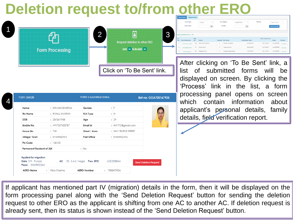## **Deletion request to/from other ERO**

| ٦           |
|-------------|
| ٦<br>I<br>٦ |
|             |
|             |
|             |
|             |

4

|                        | ာ                                    |  |
|------------------------|--------------------------------------|--|
|                        | <b>Request deletion to other ERO</b> |  |
| <b>Form Processing</b> | Sent: NA To Be Sent: NA              |  |
|                        |                                      |  |
|                        | Click on 'To Be Sent' link.          |  |

| Name                                                                  | : SHIVANI SHARMA  | Gender                                        |   | $:$ $F$              |                              |
|-----------------------------------------------------------------------|-------------------|-----------------------------------------------|---|----------------------|------------------------------|
| <b>Rin Name</b>                                                       | : RAHUL SHARMA    | <b>RLN Type</b>                               |   | : H                  |                              |
| <b>DOB</b>                                                            | : 28/06/1988      | Age                                           | ÷ | 29                   |                              |
| Mobile No.                                                            | $: +917357403787$ | Email Id                                      |   | : rhl1712@gmail.com  |                              |
| House No.                                                             | : 769             | Street / Area                                 |   | : SHIV TEMPLE STREET |                              |
| Village/Town                                                          | : KHARINDWA       | Post Office                                   |   | : KHARINDWA          |                              |
| Pin Code                                                              | : 136135          |                                               |   |                      |                              |
| Permanent Resident of J&K                                             |                   | : No                                          |   |                      |                              |
| <b>Applied for migration</b><br>State S19 - Punjab<br>Place KHARINDWA |                   | <b>AC</b> 53 - S.A.S. Nagar <b>Prev. EPIC</b> |   | LGK2308864           | <b>Send Deletion Request</b> |
|                                                                       |                   |                                               |   |                      |                              |

|                         | Form Type:                        |            | Form6<br>$\sim$ |   | Form Status:        | <b>SUBMITTED</b> | $\sim$                 | Part No:              | -- Select Part --             | $\sim$         |
|-------------------------|-----------------------------------|------------|-----------------|---|---------------------|------------------|------------------------|-----------------------|-------------------------------|----------------|
|                         |                                   |            |                 |   |                     |                  |                        |                       |                               |                |
|                         | From Date::                       |            | ₿               |   | To Date:            |                  | $\blacksquare$         |                       | View Forms O                  |                |
|                         |                                   |            |                 |   |                     |                  |                        |                       |                               |                |
|                         |                                   |            |                 |   |                     |                  |                        |                       |                               |                |
|                         | <b>Total Submitted Forms: 193</b> |            |                 |   |                     |                  |                        |                       |                               |                |
|                         | Form Reference                    | Part<br>No | Name            |   | Gender Rin Name     |                  | <b>Submission Date</b> | <b>ERO Order Date</b> | Status                        | <b>Process</b> |
|                         | OOA705167935                      | 123        | SHIVANI SHARMA  | F | RAHUL SHARMA        |                  | 26/05/2017             |                       | 18/12/2017<br><b>ACCEPTED</b> | Process        |
| Sr.<br>No.<br>$\bar{2}$ | OCD008079537                      | 91         | Savita Rani     | F | <b>Harlsh Kumar</b> |                  | 22/06/2017             |                       | 16/12/2017<br><b>ACCEPTED</b> | Process        |

After clicking on 'To Be Sent' link, a list of submitted forms will be displayed on screen. By clicking the 'Process' link in the list, a form processing panel opens on screen which contain information about applicant's personal details, family details, field verification report.

If applicant has mentioned part IV (migration) details in the form, then it will be displayed on the form processing panel along with the 'Send Deletion Request' button for sending the deletion request to other ERO as the applicant is shifting from one AC to another AC. If deletion request is already sent, then its status is shown instead of the 'Send Deletion Request' button.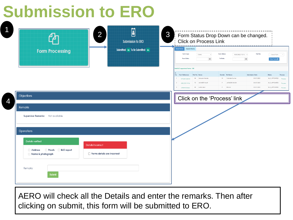# **Submission to ERO**

O

| $\overline{2}$<br><b>Form Processing</b>                                                                                                                                                            | 0<br><b>Submission to ERO</b><br>Submitted: NA To Be Submitted: NA | 3<br>Form Status Drop Down can be changed.<br><b>Click on Process Link</b><br>Show Forms<br>Search Forms<br>Form Status:<br>Part No:<br>Form Type:<br>Form6<br>ASSIGNED FOR V V<br>$-$ Select Part $ -$<br>$\sim$<br>From Date::<br>$\blacksquare$<br>To Date:<br>$\mathfrak{m}$<br>View Forms O                                                                                                                                                                                                                    |
|-----------------------------------------------------------------------------------------------------------------------------------------------------------------------------------------------------|--------------------------------------------------------------------|---------------------------------------------------------------------------------------------------------------------------------------------------------------------------------------------------------------------------------------------------------------------------------------------------------------------------------------------------------------------------------------------------------------------------------------------------------------------------------------------------------------------|
| Objections                                                                                                                                                                                          |                                                                    | otal BLO appointed Forms : 135<br>Gender Rin Name<br>No. Form Reference<br>Part No Name<br>Submission Date<br>Status<br>Process<br>01/07/2021<br>84 Sanyam Handa<br>Varinder Kumar<br>BLO_APPOINTED Process<br>M <sub>1</sub><br>OFQ467626042<br>F JATINDER SINGH<br>72 ASHMEET KAUR<br>01/07/2021<br><b>BLO_APPOINTED</b><br>$\overline{2}$<br>ORL225119196<br>Process<br>F Hira lal<br>01/07/2021<br><b>BLO_APPOINTED</b> Process<br>85 kusha devi<br>$\mathbf{3}$<br>OFT899253862<br>Click on the 'Process' link |
| Remarks<br>Supervisor Remarks: Not available                                                                                                                                                        |                                                                    |                                                                                                                                                                                                                                                                                                                                                                                                                                                                                                                     |
| <b>Operations</b><br><b>Details verified</b><br><b>Details incorrect</b><br>Proofs<br><b>BLO</b> report<br>Address<br>Forms details are incorrect<br>Name & photograph<br>Remarks:<br><b>Submit</b> |                                                                    |                                                                                                                                                                                                                                                                                                                                                                                                                                                                                                                     |

AERO will check all the Details and enter the remarks. Then after clicking on submit, this form will be submitted to ERO.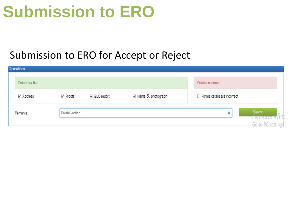# **Submission to ERO**

#### Submission to ERO for Accept or Reject

| Operations       |                  |              |                     |                             |                                     |
|------------------|------------------|--------------|---------------------|-----------------------------|-------------------------------------|
| Details verified |                  |              |                     | Details incorrect           |                                     |
| ☑ Address        | ☑ Proofs         | ☑ BLO report | ☑ Name & photograph | Forms details are incorrect |                                     |
| Remarks:         | Details Verified |              |                     | X                           | Submit<br>$\int_{1}^{1}$<br>Huttvat |
|                  |                  |              |                     |                             | Go to DC                            |